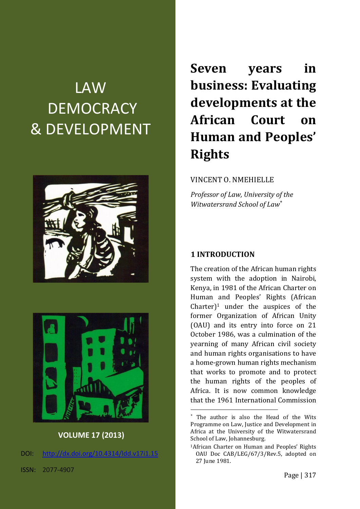# LAW **DEMOCRACY** & DEVELOPMENT





**VOLUME 17 (2013)**

DOI: [http://dx.doi.org/10.4314/ldd.v17i1.1](http://dx.doi.org/10.4314/ldd.v17i1.)5

**Seven years in business: Evaluating developments at the African Court on Human and Peoples' Rights**

#### VINCENT O. NMEHIELLE

*Professor of Law, University of the Witwatersrand School of Law*

#### **1 INTRODUCTION**

1

The creation of the African human rights system with the adoption in Nairobi, Kenya, in 1981 of the African Charter on Human and Peoples' Rights (African  $Charter$ <sup>1</sup> under the auspices of the former Organization of African Unity (OAU) and its entry into force on 21 October 1986, was a culmination of the yearning of many African civil society and human rights organisations to have a home-grown human rights mechanism that works to promote and to protect the human rights of the peoples of Africa. It is now common knowledge that the 1961 International Commission

The author is also the Head of the Wits Programme on Law, Justice and Development in Africa at the University of the Witwatersrand School of Law, Johannesburg.

<sup>1</sup>African Charter on Human and Peoples' Rights OAU Doc CAB/LEG/67/3/Rev.5, adopted on 27 June 1981.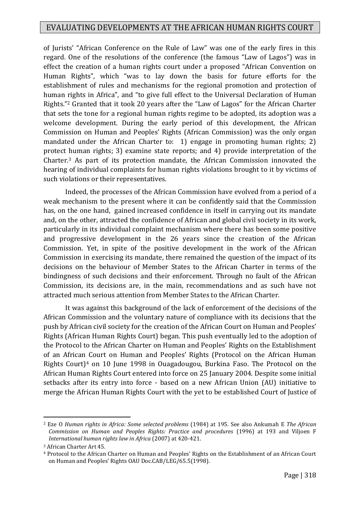of Jurists' "African Conference on the Rule of Law" was one of the early fires in this regard. One of the resolutions of the conference (the famous "Law of Lagos") was in effect the creation of a human rights court under a proposed "African Convention on Human Rights", which "was to lay down the basis for future efforts for the establishment of rules and mechanisms for the regional promotion and protection of human rights in Africa", and "to give full effect to the Universal Declaration of Human Rights."<sup>2</sup> Granted that it took 20 years after the "Law of Lagos" for the African Charter that sets the tone for a regional human rights regime to be adopted, its adoption was a welcome development. During the early period of this development, the African Commission on Human and Peoples' Rights (African Commission) was the only organ mandated under the African Charter to: 1) engage in promoting human rights; 2) protect human rights; 3) examine state reports; and 4) provide interpretation of the Charter.<sup>3</sup> As part of its protection mandate, the African Commission innovated the hearing of individual complaints for human rights violations brought to it by victims of such violations or their representatives.

Indeed, the processes of the African Commission have evolved from a period of a weak mechanism to the present where it can be confidently said that the Commission has, on the one hand, gained increased confidence in itself in carrying out its mandate and, on the other, attracted the confidence of African and global civil society in its work, particularly in its individual complaint mechanism where there has been some positive and progressive development in the 26 years since the creation of the African Commission. Yet, in spite of the positive development in the work of the African Commission in exercising its mandate, there remained the question of the impact of its decisions on the behaviour of Member States to the African Charter in terms of the bindingness of such decisions and their enforcement. Through no fault of the African Commission, its decisions are, in the main, recommendations and as such have not attracted much serious attention from Member States to the African Charter.

It was against this background of the lack of enforcement of the decisions of the African Commission and the voluntary nature of compliance with its decisions that the push by African civil society for the creation of the African Court on Human and Peoples' Rights (African Human Rights Court) began. This push eventually led to the adoption of the Protocol to the African Charter on Human and Peoples' Rights on the Establishment of an African Court on Human and Peoples' Rights (Protocol on the African Human Rights Court)<sup>4</sup> on 10 June 1998 in Ouagadougou, Burkina Faso. The Protocol on the African Human Rights Court entered into force on 25 January 2004. Despite some initial setbacks after its entry into force - based on a new African Union (AU) initiative to merge the African Human Rights Court with the yet to be established Court of Justice of

<sup>2</sup> Eze O *Human rights in Africa: Some selected problems* (1984) at 195. See also Ankumah E *The African Commission on Human and Peoples Rights: Practice and procedures* (1996) at 193 and Viljoen F *International human rights law in Africa* (2007) at 420-421.

<sup>3</sup> African Charter Art 45.

<sup>4</sup> Protocol to the African Charter on Human and Peoples' Rights on the Establishment of an African Court on Human and Peoples' Rights OAU Doc.CAB/LEG/65.5(1998).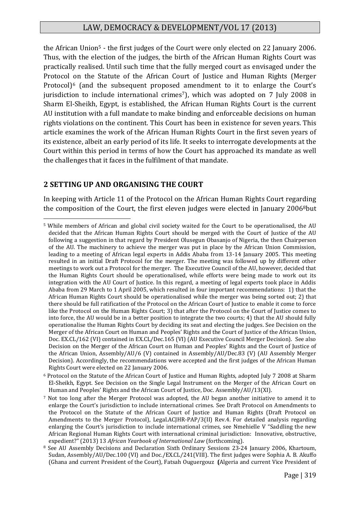the African Union<sup>5</sup> - the first judges of the Court were only elected on 22 January 2006. Thus, with the election of the judges, the birth of the African Human Rights Court was practically realised. Until such time that the fully merged court as envisaged under the Protocol on the Statute of the African Court of Justice and Human Rights (Merger Protocol)<sup>6</sup> (and the subsequent proposed amendment to it to enlarge the Court's jurisdiction to include international crimes<sup>7</sup>), which was adopted on 7 July 2008 in Sharm El-Sheikh, Egypt, is established, the African Human Rights Court is the current AU institution with a full mandate to make binding and enforceable decisions on human rights violations on the continent. This Court has been in existence for seven years. This article examines the work of the African Human Rights Court in the first seven years of its existence, albeit an early period of its life. It seeks to interrogate developments at the Court within this period in terms of how the Court has approached its mandate as well the challenges that it faces in the fulfilment of that mandate.

#### **2 SETTING UP AND ORGANISING THE COURT**

1

In keeping with Article 11 of the Protocol on the African Human Rights Court regarding the composition of the Court, the first eleven judges were elected in January 2006<sup>8</sup>but

<sup>5</sup> While members of African and global civil society waited for the Court to be operationalised, the AU decided that the African Human Rights Court should be merged with the Court of Justice of the AU following a suggestion in that regard by President Olusegun Obasanjo of Nigeria, the then Chairperson of the AU. The machinery to achieve the merger was put in place by the African Union Commission, leading to a meeting of African legal experts in Addis Ababa from 13-14 January 2005. This meeting resulted in an initial Draft Protocol for the merger. The meeting was followed up by different other meetings to work out a Protocol for the merger. The Executive Council of the AU, however, decided that the Human Rights Court should be operationalised, while efforts were being made to work out its integration with the AU Court of Justice. In this regard, a meeting of legal experts took place in Addis Ababa from 29 March to 1 April 2005, which resulted in four important recommendations: 1) that the African Human Rights Court should be operationalised while the merger was being sorted out; 2) that there should be full ratification of the Protocol on the African Court of Justice to enable it come to force like the Protocol on the Human Rights Court; 3) that after the Protocol on the Court of Justice comes to into force, the AU would be in a better position to integrate the two courts; 4) that the AU should fully operationalise the Human Rights Court by deciding its seat and electing the judges. See Decision on the Merger of the African Court on Human and Peoples' Rights and the Court of Justice of the African Union, Doc. EX.CL/162 (VI) contained in EX.CL/Dec.165 (VI) (AU Executive Council Merger Decision). See also Decision on the Merger of the African Court on Human and Peoples' Rights and the Court of Justice of the African Union, Assembly/AU/6 (V) contained in Assembly/AU/Dec.83 (V) (AU Assembly Merger Decision). Accordingly, the recommendations were accepted and the first judges of the African Human Rights Court were elected on 22 January 2006.

<sup>6</sup> Protocol on the Statute of the African Court of Justice and Human Rights, adopted July 7 2008 at Sharm El-Sheikh, Egypt. See Decision on the Single Legal Instrument on the Merger of the African Court on Human and Peoples' Rights and the African Court of Justice, Doc. Assembly/AU/13(XI).

<sup>7</sup> Not too long after the Merger Protocol was adopted, the AU began another initiative to amend it to enlarge the Court's jurisdiction to include international crimes. See Draft Protocol on Amendments to the Protocol on the Statute of the African Court of Justice and Human Rights (Draft Protocol on Amendments to the Merger Protocol), Legal.ACJHR-PAP/3(II) Rev.4. For detailed analysis regarding enlarging the Court's jurisdiction to include international crimes, see Nmehielle V "Saddling the new African Regional Human Rights Court with international criminal jurisdiction: Innovative, obstructive, expedient?" (2013) 13 *African Yearbook of International Law* (forthcoming).

<sup>&</sup>lt;sup>8</sup> See AU Assembly Decisions and Declaration Sixth Ordinary Sessions 23-24 January 2006, Khartoum, Sudan, Assembly/AU/Dec.100 (VI) and Doc./EX.CL/241(VIII). The first judges were Sophia A. B. Akuffo (Ghana and current President of the Court), Fatsah Ouguergouz **(**Algeria and current Vice President of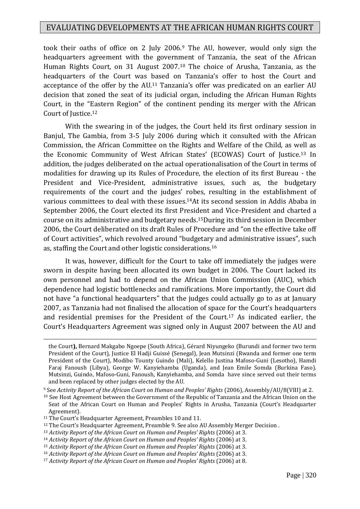took their oaths of office on 2 July 2006.<sup>9</sup> The AU, however, would only sign the headquarters agreement with the government of Tanzania, the seat of the African Human Rights Court, on 31 August 2007.<sup>10</sup> The choice of Arusha, Tanzania, as the headquarters of the Court was based on Tanzania's offer to host the Court and acceptance of the offer by the AU.<sup>11</sup> Tanzania's offer was predicated on an earlier AU decision that zoned the seat of its judicial organ, including the African Human Rights Court, in the "Eastern Region" of the continent pending its merger with the African Court of Justice.<sup>12</sup>

With the swearing in of the judges, the Court held its first ordinary session in Banjul, The Gambia, from 3-5 July 2006 during which it consulted with the African Commission, the African Committee on the Rights and Welfare of the Child, as well as the Economic Community of West African States' (ECOWAS) Court of Justice.<sup>13</sup> In addition, the judges deliberated on the actual operationalisation of the Court in terms of modalities for drawing up its Rules of Procedure, the election of its first Bureau - the President and Vice-President, administrative issues, such as, the budgetary requirements of the court and the judges' robes, resulting in the establishment of various committees to deal with these issues.14At its second session in Addis Ababa in September 2006, the Court elected its first President and Vice-President and charted a course on its administrative and budgetary needs.15During its third session in December 2006, the Court deliberated on its draft Rules of Procedure and "on the effective take off of Court activities", which revolved around "budgetary and administrative issues", such as, staffing the Court and other logistic considerations.<sup>16</sup>

It was, however, difficult for the Court to take off immediately the judges were sworn in despite having been allocated its own budget in 2006. The Court lacked its own personnel and had to depend on the African Union Commission (AUC), which dependence had logistic bottlenecks and ramifications. More importantly, the Court did not have "a functional headquarters" that the judges could actually go to as at January 2007, as Tanzania had not finalised the allocation of space for the Court's headquarters and residential premises for the President of the Court.<sup>17</sup> As indicated earlier, the Court's Headquarters Agreement was signed only in August 2007 between the AU and

the Court**),** Bernard Makgabo Ngoepe (South Africa), Gérard Niyungeko (Burundi and former two term President of the Court), Justice El Hadji Guissé (Senegal), Jean Mutsinzi (Rwanda and former one term President of the Court), Modibo Tounty Guindo (Mali), Kelello Justina Mafoso-Guni (Lesotho), Hamdi Faraj Fanoush (Libya), George W. Kanyiehamba (Uganda), and Jean Emile Somda (Burkina Faso). Mutsinzi, Guindo, Mafoso-Guni, Fanoush, Kanyiehamba, and Somda have since served out their terms and been replaced by other judges elected by the AU.

<sup>9</sup> See *Activity Report of the African Court on Human and Peoples' Rights* (2006), Assembly/AU/8(VIII) at 2.

<sup>10</sup> See Host Agreement between the Government of the Republic of Tanzania and the African Union on the Seat of the African Court on Human and Peoples' Rights in Arusha, Tanzania (Court's Headquarter Agreement).

<sup>&</sup>lt;sup>11</sup> The Court's Headquarter Agreement, Preambles 10 and 11.

<sup>12</sup> The Court's Headquarter Agreement, Preamble 9. See also AU Assembly Merger Decision .

<sup>13</sup> *Activity Report of the African Court on Human and Peoples' Rights* (2006) at 3.

<sup>14</sup> *Activity Report of the African Court on Human and Peoples' Rights* (2006) at 3.

<sup>15</sup> *Activity Report of the African Court on Human and Peoples' Rights* (2006) at 3.

<sup>16</sup> *Activity Report of the African Court on Human and Peoples' Rights* (2006) at 3.

<sup>17</sup> *Activity Report of the African Court on Human and Peoples' Rights* (2006) at 8.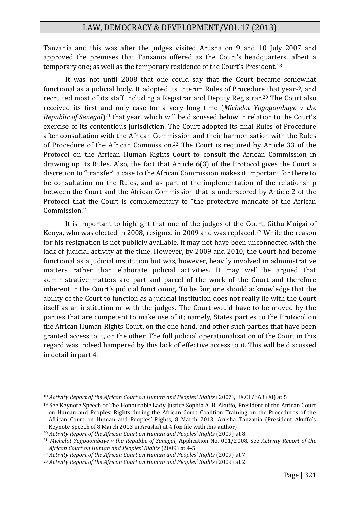Tanzania and this was after the judges visited Arusha on 9 and 10 July 2007 and approved the premises that Tanzania offered as the Court's headquarters, albeit a temporary one; as well as the temporary residence of the Court's President.<sup>18</sup>

It was not until 2008 that one could say that the Court became somewhat functional as a judicial body. It adopted its interim Rules of Procedure that year<sup>19</sup>, and recruited most of its staff including a Registrar and Deputy Registrar.<sup>20</sup> The Court also received its first and only case for a very long time (*Michelot Yogogombaye v the*  Republic of Senegal<sup>21</sup> that year, which will be discussed below in relation to the Court's exercise of its contentious jurisdiction. The Court adopted its final Rules of Procedure after consultation with the African Commission and their harmonisation with the Rules of Procedure of the African Commission.<sup>22</sup> The Court is required by Article 33 of the Protocol on the African Human Rights Court to consult the African Commission in drawing up its Rules. Also, the fact that Article 6(3) of the Protocol gives the Court a discretion to "transfer" a case to the African Commission makes it important for there to be consultation on the Rules, and as part of the implementation of the relationship between the Court and the African Commission that is underscored by Article 2 of the Protocol that the Court is complementary to "the protective mandate of the African Commission."

It is important to highlight that one of the judges of the Court, Githu Muigai of Kenya, who was elected in 2008, resigned in 2009 and was replaced.<sup>23</sup> While the reason for his resignation is not publicly available, it may not have been unconnected with the lack of judicial activity at the time. However, by 2009 and 2010, the Court had become functional as a judicial institution but was, however, heavily involved in administrative matters rather than elaborate judicial activities. It may well be argued that administrative matters are part and parcel of the work of the Court and therefore inherent in the Court's judicial functioning. To be fair, one should acknowledge that the ability of the Court to function as a judicial institution does not really lie with the Court itself as an institution or with the judges. The Court would have to be moved by the parties that are competent to make use of it; namely, States parties to the Protocol on the African Human Rights Court, on the one hand, and other such parties that have been granted access to it, on the other. The full judicial operationalisation of the Court in this regard was indeed hampered by this lack of effective access to it. This will be discussed in detail in part 4.

<sup>18</sup> *Activity Report of the African Court on Human and Peoples' Rights* (2007), EX.CL/363 (XI) at 5

<sup>19</sup> See Keynote Speech of The Honourable Lady Justice Sophia A. B. Akuffo, President of the African Court on Human and Peoples' Rights during the African Court Coalition Training on the Procedures of the African Court on Human and Peoples' Rights, 8 March 2013, Arusha Tanzania (President Akuffo's Keynote Speech of 8 March 2013 in Arusha) at 4 (on file with this author).

<sup>20</sup> *Activity Report of the African Court on Human and Peoples' Rights* (2009) at 8.

<sup>21</sup> *Michelot Yogogombaye v the Republic of Senegal*, Application No. 001/2008. See *Activity Report of the African Court on Human and Peoples' Rights* (2009) at 4-5.

<sup>22</sup> *Activity Report of the African Court on Human and Peoples' Rights* (2009) at 7.

<sup>23</sup> *Activity Report of the African Court on Human and Peoples' Rights* (2009) at 2.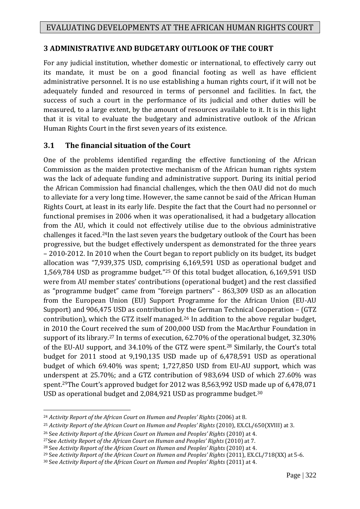# **3 ADMINISTRATIVE AND BUDGETARY OUTLOOK OF THE COURT**

For any judicial institution, whether domestic or international, to effectively carry out its mandate, it must be on a good financial footing as well as have efficient administrative personnel. It is no use establishing a human rights court, if it will not be adequately funded and resourced in terms of personnel and facilities. In fact, the success of such a court in the performance of its judicial and other duties will be measured, to a large extent, by the amount of resources available to it. It is in this light that it is vital to evaluate the budgetary and administrative outlook of the African Human Rights Court in the first seven years of its existence.

## **3.1 The financial situation of the Court**

One of the problems identified regarding the effective functioning of the African Commission as the maiden protective mechanism of the African human rights system was the lack of adequate funding and administrative support. During its initial period the African Commission had financial challenges, which the then OAU did not do much to alleviate for a very long time. However, the same cannot be said of the African Human Rights Court, at least in its early life. Despite the fact that the Court had no personnel or functional premises in 2006 when it was operationalised, it had a budgetary allocation from the AU, which it could not effectively utilise due to the obvious administrative challenges it faced.24In the last seven years the budgetary outlook of the Court has been progressive, but the budget effectively underspent as demonstrated for the three years – 2010-2012. In 2010 when the Court began to report publicly on its budget, its budget allocation was "7,939,375 USD, comprising 6,169,591 USD as operational budget and 1,569,784 USD as programme budget."<sup>25</sup> Of this total budget allocation, 6,169,591 USD were from AU member states' contributions (operational budget) and the rest classified as "programme budget" came from "foreign partners" - 863,309 USD as an allocation from the European Union (EU) Support Programme for the African Union (EU-AU Support) and 906,475 USD as contribution by the German Technical Cooperation – (GTZ contribution), which the GTZ itself managed.<sup>26</sup> In addition to the above regular budget, in 2010 the Court received the sum of 200,000 USD from the MacArthur Foundation in support of its library.<sup>27</sup> In terms of execution, 62.70% of the operational budget, 32.30% of the EU-AU support, and 34.10% of the GTZ were spent.<sup>28</sup> Similarly, the Court's total budget for 2011 stood at 9,190,135 USD made up of 6,478,591 USD as operational budget of which 69.40% was spent; 1,727,850 USD from EU-AU support, which was underspent at 25.70%; and a GTZ contribution of 983,694 USD of which 27.60% was spent.29The Court's approved budget for 2012 was 8,563,992 USD made up of 6,478,071 USD as operational budget and 2,084,921 USD as programme budget.<sup>30</sup>

<sup>24</sup> *Activity Report of the African Court on Human and Peoples' Rights* (2006) at 8.

<sup>&</sup>lt;sup>25</sup> Activity Report of the African Court on Human and Peoples' Rights (2010), EX.CL/650(XVIII) at 3.

<sup>26</sup> See *Activity Report of the African Court on Human and Peoples' Rights* (2010) at 4.

<sup>27</sup>See *Activity Report of the African Court on Human and Peoples' Rights* (2010) at 7.

<sup>28</sup> See *Activity Report of the African Court on Human and Peoples' Rights* (2010) at 4.

<sup>&</sup>lt;sup>29</sup> See *Activity Report of the African Court on Human and Peoples' Rights* (2011), EX.CL/718(XX) at 5-6.

<sup>30</sup> See *Activity Report of the African Court on Human and Peoples' Rights* (2011) at 4.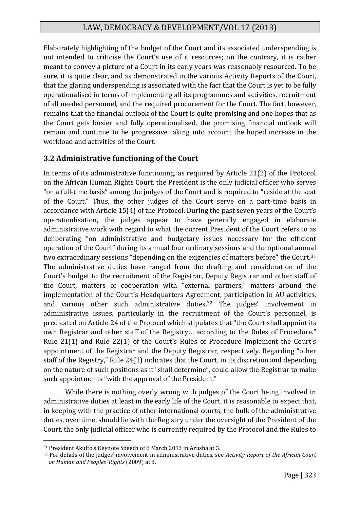Elaborately highlighting of the budget of the Court and its associated underspending is not intended to criticise the Court's use of it resources; on the contrary, it is rather meant to convey a picture of a Court in its early years was reasonably resourced. To be sure, it is quite clear, and as demonstrated in the various Activity Reports of the Court, that the glaring underspending is associated with the fact that the Court is yet to be fully operationalised in terms of implementing all its programmes and activities, recruitment of all needed personnel, and the required procurement for the Court. The fact, however, remains that the financial outlook of the Court is quite promising and one hopes that as the Court gets busier and fully operationalised, the promising financial outlook will remain and continue to be progressive taking into account the hoped increase in the workload and activities of the Court.

## **3.2 Administrative functioning of the Court**

In terms of its administrative functioning, as required by Article 21(2) of the Protocol on the African Human Rights Court, the President is the only judicial officer who serves "on a full-time basis" among the judges of the Court and is required to "reside at the seat of the Court." Thus, the other judges of the Court serve on a part-time basis in accordance with Article 15(4) of the Protocol. During the past seven years of the Court's operationlisation, the judges appear to have generally engaged in elaborate administrative work with regard to what the current President of the Court refers to as deliberating "on administrative and budgetary issues necessary for the efficient operation of the Court" during its annual four ordinary sessions and the optional annual two extraordinary sessions "depending on the exigencies of matters before" the Court.<sup>31</sup> The administrative duties have ranged from the drafting and consideration of the Court's budget to the recruitment of the Registrar, Deputy Registrar and other staff of the Court, matters of cooperation with "external partners," matters around the implementation of the Court's Headquarters Agreement, participation in AU activities, and various other such administrative duties.<sup>32</sup> The judges' involvement in administrative issues, particularly in the recruitment of the Court's personnel, is predicated on Article 24 of the Protocol which stipulates that "the Court shall appoint its own Registrar and other staff of the Registry… according to the Rules of Procedure." Rule 21(1) and Rule 22(1) of the Court's Rules of Procedure implement the Court's appointment of the Registrar and the Deputy Registrar, respectively. Regarding "other staff of the Registry," Rule 24(1) indicates that the Court, in its discretion and depending on the nature of such positions as it "shall determine", could allow the Registrar to make such appointments "with the approval of the President."

While there is nothing overly wrong with judges of the Court being involved in administrative duties at least in the early life of the Court, it is reasonable to expect that, in keeping with the practice of other international courts, the bulk of the administrative duties, over time, should lie with the Registry under the oversight of the President of the Court, the only judicial officer who is currently required by the Protocol and the Rules to

<sup>31</sup> President Akuffo's Keynote Speech of 8 March 2013 in Arusha at 3.

<sup>32</sup> For details of the judges' involvement in administrative duties, see *Activity Report of the African Court on Human and Peoples' Rights* (2009) at 3.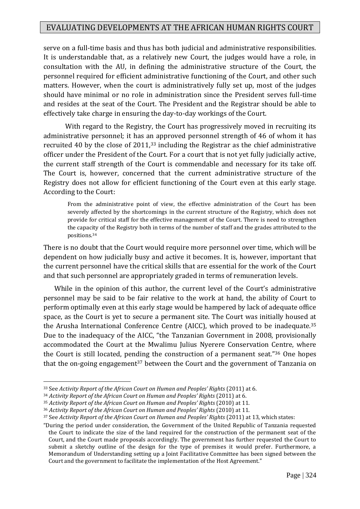serve on a full-time basis and thus has both judicial and administrative responsibilities. It is understandable that, as a relatively new Court, the judges would have a role, in consultation with the AU, in defining the administrative structure of the Court, the personnel required for efficient administrative functioning of the Court, and other such matters. However, when the court is administratively fully set up, most of the judges should have minimal or no role in administration since the President serves full-time and resides at the seat of the Court. The President and the Registrar should be able to effectively take charge in ensuring the day-to-day workings of the Court.

With regard to the Registry, the Court has progressively moved in recruiting its administrative personnel; it has an approved personnel strength of 46 of whom it has recruited 40 by the close of 2011,<sup>33</sup> including the Registrar as the chief administrative officer under the President of the Court. For a court that is not yet fully judicially active, the current staff strength of the Court is commendable and necessary for its take off. The Court is, however, concerned that the current administrative structure of the Registry does not allow for efficient functioning of the Court even at this early stage. According to the Court:

From the administrative point of view, the effective administration of the Court has been severely affected by the shortcomings in the current structure of the Registry, which does not provide for critical staff for the effective management of the Court. There is need to strengthen the capacity of the Registry both in terms of the number of staff and the grades attributed to the positions.<sup>34</sup>

There is no doubt that the Court would require more personnel over time, which will be dependent on how judicially busy and active it becomes. It is, however, important that the current personnel have the critical skills that are essential for the work of the Court and that such personnel are appropriately graded in terms of remuneration levels.

While in the opinion of this author, the current level of the Court's administrative personnel may be said to be fair relative to the work at hand, the ability of Court to perform optimally even at this early stage would be hampered by lack of adequate office space, as the Court is yet to secure a permanent site. The Court was initially housed at the Arusha International Conference Centre (AICC), which proved to be inadequate.<sup>35</sup> Due to the inadequacy of the AICC, "the Tanzanian Government in 2008, provisionally accommodated the Court at the Mwalimu Julius Nyerere Conservation Centre, where the Court is still located, pending the construction of a permanent seat."<sup>36</sup> One hopes that the on-going engagement<sup>37</sup> between the Court and the government of Tanzania on

<sup>33</sup> See *Activity Report of the African Court on Human and Peoples' Rights* (2011) at 6.

<sup>34</sup> *Activity Report of the African Court on Human and Peoples' Rights* (2011) at 6.

<sup>35</sup> *Activity Report of the African Court on Human and Peoples' Rights* (2010) at 11.

<sup>36</sup> *Activity Report of the African Court on Human and Peoples' Rights* (2010) at 11.

<sup>37</sup> See *Activity Report of the African Court on Human and Peoples' Rights* (2011) at 13, which states:

<sup>&</sup>quot;During the period under consideration, the Government of the United Republic of Tanzania requested the Court to indicate the size of the land required for the construction of the permanent seat of the Court, and the Court made proposals accordingly. The government has further requested the Court to submit a sketchy outline of the design for the type of premises it would prefer. Furthermore, a Memorandum of Understanding setting up a Joint Facilitative Committee has been signed between the Court and the government to facilitate the implementation of the Host Agreement."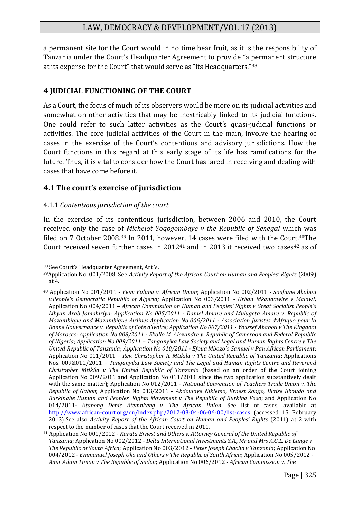a permanent site for the Court would in no time bear fruit, as it is the responsibility of Tanzania under the Court's Headquarter Agreement to provide "a permanent structure at its expense for the Court" that would serve as "its Headquarters."<sup>38</sup>

## **4 JUDICIAL FUNCTIONING OF THE COURT**

As a Court, the focus of much of its observers would be more on its judicial activities and somewhat on other activities that may be inextricably linked to its judicial functions. One could refer to such latter activities as the Court's quasi-judicial functions or activities. The core judicial activities of the Court in the main, involve the hearing of cases in the exercise of the Court's contentious and advisory jurisdictions. How the Court functions in this regard at this early stage of its life has ramifications for the future. Thus, it is vital to consider how the Court has fared in receiving and dealing with cases that have come before it.

## **4.1 The court's exercise of jurisdiction**

#### 4.1.1 *Contentious jurisdiction of the court*

In the exercise of its contentious jurisdiction, between 2006 and 2010, the Court received only the case of *Michelot Yogogombaye v the Republic of Senegal* which was filed on 7 October 2008.<sup>39</sup> In 2011, however, 14 cases were filed with the Court.<sup>40</sup>The Court received seven further cases in  $2012^{41}$  and in 2013 it received two cases<sup>42</sup> as of

<sup>38</sup> See Court's Headquarter Agreement, Art V.

<sup>39</sup>Application No. 001/2008. See *Activity Report of the African Court on Human and Peoples' Rights* (2009) at 4.

<sup>40</sup> Application No 001/2011 - *Femi Falana v. African Union*; [Application No 002/2011](http://www.african-court.org/en/index.php/2012-03-04-06-06-00/list-cases/2-home/169-application-no-002-2011-soufiane-ababou-v-people-s-democratic-republic-of-algeria) *- Soufiane Ababou [v.People's Democratic Republic of Algeria](http://www.african-court.org/en/index.php/2012-03-04-06-06-00/list-cases/2-home/169-application-no-002-2011-soufiane-ababou-v-people-s-democratic-republic-of-algeria);* Application No 003/2011 *- Urban Mkandawire v Malawi;*  Application No 004/2011 – *African Commission on Human and Peoples' Rights v Great Socialist People's Libyan Arab Jamahiriya*; *Application No 005/2011 - [Daniel Amare and Mulugeta Amare v. Republic of](http://www.african-court.org/en/index.php/2012-03-04-06-06-00/list-cases/2-home/174-application-no-005-2011-daniel-amare-and-mulugeta-amare-v-republic-of-mozambique-mozambique-airlines)  [Mozambique and Mozambique Airlines](http://www.african-court.org/en/index.php/2012-03-04-06-06-00/list-cases/2-home/174-application-no-005-2011-daniel-amare-and-mulugeta-amare-v-republic-of-mozambique-mozambique-airlines)*;*Application No 006/2011 - [Association Juristes d'Afrique pour la](http://www.african-court.org/en/index.php/2012-03-04-06-06-00/list-cases/2-home/175-application-no-006-2011-association-juristes-d-afrique-pour-la-bonne-gouvernance-v-republic-of-cote-d-ivoire)  Bonne Gouvernance v. [Republic of Cote d'Ivoire](http://www.african-court.org/en/index.php/2012-03-04-06-06-00/list-cases/2-home/175-application-no-006-2011-association-juristes-d-afrique-pour-la-bonne-gouvernance-v-republic-of-cote-d-ivoire)*; *Application No 007/2011 - [Youssef Ababou v The Kingdom](http://www.african-court.org/en/index.php/2012-03-04-06-06-00/list-cases/2-home/176-application-no-007-2011-youssef-ababou-v-the-kingdom-of-morocco)  [of Morocco](http://www.african-court.org/en/index.php/2012-03-04-06-06-00/list-cases/2-home/176-application-no-007-2011-youssef-ababou-v-the-kingdom-of-morocco)*; *Application No 008/2011 - [Ekollo M. Alexandre v. Republic of](http://www.african-court.org/en/index.php/2012-03-04-06-06-00/list-cases/2-home/177-application-no-008-2011-ekollo-m-alexandre-v-republic-of-cameroon-and-federal-republic-of-nigeria) Cameroon and Federal Republic [of Nigeria](http://www.african-court.org/en/index.php/2012-03-04-06-06-00/list-cases/2-home/177-application-no-008-2011-ekollo-m-alexandre-v-republic-of-cameroon-and-federal-republic-of-nigeria)*; *Application No 009/2011 – [Tanganyika Law Society and Legal and Human Rights Centre v The](http://www.african-court.org/en/index.php/2012-03-04-06-06-00/list-cases/2-home/178-application-no-009-2011-tanganyika-law-society-and-legal-and-human-rights-centre-v-the-united-republic-of-tanzania)  [United Republic of Tanzania](http://www.african-court.org/en/index.php/2012-03-04-06-06-00/list-cases/2-home/178-application-no-009-2011-tanganyika-law-society-and-legal-and-human-rights-centre-v-the-united-republic-of-tanzania)*; *Application No 010/2011 - [Efoua Mbozo'o Samuel v Pan African Parliament](http://www.african-court.org/en/index.php/2012-03-04-06-06-00/list-cases/2-home/179-application-no-010-2011-application-010-2011-efoua-mbozo-o-samuel-v-pan-african-parliament)*; Application No 011/2011 – *Rev. Christopher R. Mtikila v The United Republic of Tanzania*; Applications Nos. 009&011/2011 – *Tanganyika Law Society and The Legal and Human Rights Centre and Reverend Christopher Mtikila v The United Republic of Tanzania* (based on an order of the Court joining Application No 009/2011 and Application No 011/2011 since the two application substantively dealt with the same matter); Application No 012/2011 - *National Convention of Teachers Trade Union v. The Republic of Gabon*; Application No 013/2011 - *Abdoulaye Nikiema, Ernest Zongo, Blaise Ilboudo and Burkinabe Human and Peoples' Rights Movement v The Republic of Burkina Faso*; and Application No 014/2011- *Atabong Denis Atemnkeng v. The African Union*. See list of cases, available at <http://www.african-court.org/en/index.php/2012-03-04-06-06-00/list-cases> (accessed 15 February 2013).See also *Activity Report of the African Court on Human and Peoples' Rights* (2011) at 2 with respect to the number of cases that the Court received in 2011.

<sup>41</sup> Application No 001/2012 - *Karata Ernest and Others v. Attorney General of the United Republic of Tanzania*; Application No 002/2012 - *Delta International Investments S.A., Mr and Mrs A.G.L. De Lange v The Republic of South Africa*; Application No 003/2012 - *Peter Joseph Chacha v Tanzania*; Application No 004/2012 - *Emmanuel Joseph Uko and Others v The Republic of South Africa*; Application No 005/2012 - *Amir Adam Timan v The Republic of Sudan*; Application No 006/2012 - *African Commission v. The*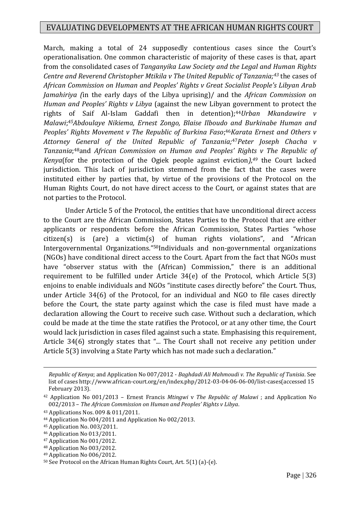March, making a total of 24 supposedly contentious cases since the Court's operationalisation. One common characteristic of majority of these cases is that, apart from the consolidated cases of *Tanganyika Law Society and the Legal and Human Rights Centre and Reverend Christopher Mtikila v The United Republic of Tanzania;<sup>43</sup>* the cases of *African Commission on Human and Peoples' Rights v Great Socialist People's Libyan Arab Jamahiriya (*in the early days of the Libya uprising)/ and the *African Commission on Human and Peoples' Rights v Libya* (against the new Libyan government to protect the rights of Saif Al-Islam Gaddafi then in detention); <sup>44</sup>*Urban Mkandawire v Malawi*; *<sup>45</sup>Abdoulaye Nikiema, Ernest Zongo, Blaise Ilboudo and Burkinabe Human and Peoples' Rights Movement v The Republic of Burkina Faso*; <sup>46</sup>*Karata Ernest and Others v Attorney General of the United Republic of Tanzania;*47*Peter Joseph Chacha v*  Tanzania;<sup>48</sup>and African Commission on Human and Peoples' Rights v The Republic of *Kenya*(for the protection of the Ogiek people against eviction*),<sup>49</sup>* the Court lacked jurisdiction. This lack of jurisdiction stemmed from the fact that the cases were instituted either by parties that, by virtue of the provisions of the Protocol on the Human Rights Court, do not have direct access to the Court, or against states that are not parties to the Protocol.

Under Article 5 of the Protocol, the entities that have unconditional direct access to the Court are the African Commission, States Parties to the Protocol that are either applicants or respondents before the African Commission, States Parties "whose citizen(s) is (are) a victim(s) of human rights violations", and "African Intergovernmental Organizations."50Individuals and non-governmental organizations (NGOs) have conditional direct access to the Court. Apart from the fact that NGOs must have "observer status with the (African) Commission," there is an additional requirement to be fulfilled under Article 34(e) of the Protocol, which Article 5(3) enjoins to enable individuals and NGOs "institute cases directly before" the Court. Thus, under Article 34(6) of the Protocol, for an individual and NGO to file cases directly before the Court, the state party against which the case is filed must have made a declaration allowing the Court to receive such case. Without such a declaration, which could be made at the time the state ratifies the Protocol, or at any other time, the Court would lack jurisdiction in cases filed against such a state. Emphasising this requirement, Article 34(6) strongly states that "... The Court shall not receive any petition under Article 5(3) involving a State Party which has not made such a declaration."

1

<sup>49</sup> Application No 006/2012.

*Republic of Kenya*; and Application No 007/2012 - *Baghdadi Ali Mahmoudi v. The Republic of Tunisia*. See list of cases http://www.african-court.org/en/index.php/2012-03-04-06-06-00/list-cases(accessed 15 February 2013).

<sup>42</sup> Application No 001/2013 – Ernest Francis *Mtingwi* v *The Republic of Malawi* ; and Application No 002/2013 – *The African Commission on Human and Peoples' Rights v Libya*.

<sup>43</sup> Applications Nos. 009 & 011/2011.

<sup>44</sup> Application No 004/2011 and Application No 002/2013.

<sup>45</sup> Application No. 003/2011.

<sup>46</sup> Application No 013/2011.

<sup>47</sup> Application No 001/2012.

<sup>48</sup> Application No 003/2012.

<sup>50</sup> See Protocol on the African Human Rights Court, Art. 5(1) (a)-(e).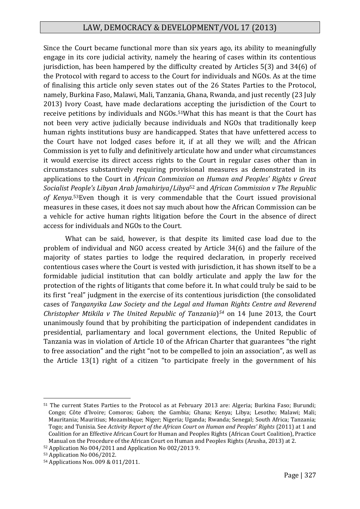Since the Court became functional more than six years ago, its ability to meaningfully engage in its core judicial activity, namely the hearing of cases within its contentious jurisdiction, has been hampered by the difficulty created by Articles 5(3) and 34(6) of the Protocol with regard to access to the Court for individuals and NGOs. As at the time of finalising this article only seven states out of the 26 States Parties to the Protocol, namely, Burkina Faso, Malawi, Mali, Tanzania, Ghana, Rwanda, and just recently (23 July 2013) Ivory Coast, have made declarations accepting the jurisdiction of the Court to receive petitions by individuals and NGOs.51What this has meant is that the Court has not been very active judicially because individuals and NGOs that traditionally keep human rights institutions busy are handicapped. States that have unfettered access to the Court have not lodged cases before it, if at all they we will; and the African Commission is yet to fully and definitively articulate how and under what circumstances it would exercise its direct access rights to the Court in regular cases other than in circumstances substantively requiring provisional measures as demonstrated in its applications to the Court in *African Commission on Human and Peoples' Rights v Great Socialist People's Libyan Arab Jamahiriya*/*Libya*<sup>52</sup> and *African Commission v The Republic of Kenya*. <sup>53</sup>Even though it is very commendable that the Court issued provisional measures in these cases, it does not say much about how the African Commission can be a vehicle for active human rights litigation before the Court in the absence of direct access for individuals and NGOs to the Court.

What can be said, however, is that despite its limited case load due to the problem of individual and NGO access created by Article 34(6) and the failure of the majority of states parties to lodge the required declaration, in properly received contentious cases where the Court is vested with jurisdiction, it has shown itself to be a formidable judicial institution that can boldly articulate and apply the law for the protection of the rights of litigants that come before it. In what could truly be said to be its first "real" judgment in the exercise of its contentious jurisdiction (the consolidated cases of *Tanganyika Law Society and the Legal and Human Rights Centre and Reverend Christopher Mtikila v The United Republic of Tanzania*) *<sup>54</sup>* on 14 June 2013, the Court unanimously found that by prohibiting the participation of independent candidates in presidential, parliamentary and local government elections, the United Republic of Tanzania was in violation of Article 10 of the African Charter that guarantees "the right to free association" and the right "not to be compelled to join an association", as well as the Article 13(1) right of a citizen "to participate freely in the government of his

<sup>51</sup> The current States Parties to the Protocol as at February 2013 are: Algeria; Burkina Faso; Burundi; Congo; Côte d'Ivoire; Comoros; Gabon; the Gambia; Ghana; Kenya; Libya; Lesotho; Malawi; Mali; Mauritania; Mauritius; Mozambique; Niger; Nigeria; Uganda; Rwanda; Senegal; South Africa; Tanzania; Togo; and Tunisia. See *Activity Report of the African Court on Human and Peoples' Rights* (2011) at 1 and Coalition for an Effective African Court for Human and Peoples Rights (African Court Coalition), Practice Manual on the Procedure of the African Court on Human and Peoples Rights (Arusha, 2013) at 2.

<sup>52</sup> Application No 004/2011 and Application No 002/2013 9.

<sup>53</sup> Application No 006/2012.

<sup>54</sup> Applications Nos. 009 & 011/2011.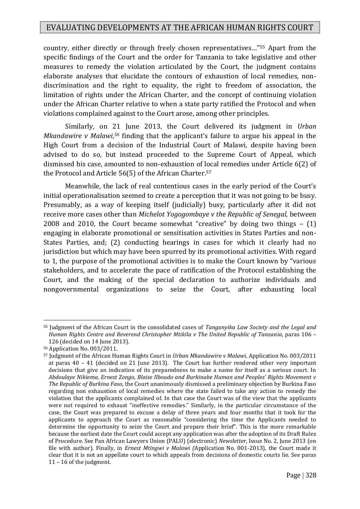country, either directly or through freely chosen representatives…"<sup>55</sup> Apart from the specific findings of the Court and the order for Tanzania to take legislative and other measures to remedy the violation articulated by the Court, the judgment contains elaborate analyses that elucidate the contours of exhaustion of local remedies, nondiscrimination and the right to equality, the right to freedom of association, the limitation of rights under the African Charter, and the concept of continuing violation under the African Charter relative to when a state party ratified the Protocol and when violations complained against to the Court arose, among other principles.

Similarly, on 21 June 2013, the Court delivered its judgment in *Urban Mkandawire v Malawi*, *<sup>56</sup>* finding that the applicant's failure to argue his appeal in the High Court from a decision of the Industrial Court of Malawi, despite having been advised to do so, but instead proceeded to the Supreme Court of Appeal, which dismissed his case, amounted to non-exhaustion of local remedies under Article 6(2) of the Protocol and Article 56(5) of the African Charter.<sup>57</sup>

Meanwhile, the lack of real contentious cases in the early period of the Court's initial operationalisation seemed to create a perception that it was not going to be busy. Presumably, as a way of keeping itself (judicially) busy, particularly after it did not receive more cases other than *Michelot Yogogombaye v the Republic of Senegal,* between 2008 and 2010, the Court became somewhat "creative" by doing two things – (1) engaging in elaborate promotional or sensitisation activities in States Parties and non-States Parties, and; (2) conducting hearings in cases for which it clearly had no jurisdiction but which may have been spurred by its promotional activities. With regard to 1, the purpose of the promotional activities is to make the Court known by "various stakeholders, and to accelerate the pace of ratification of the Protocol establishing the Court, and the making of the special declaration to authorize individuals and nongovernmental organizations to seize the Court, after exhausting local

<sup>55</sup> Judgment of the African Court in the consolidated cases of *Tanganyika Law Society and the Legal and Human Rights Centre and Reverend Christopher Mtikila v The United Republic of Tanzania*, paras 106 – 126 (decided on 14 June 2013).

<sup>56</sup> Application No. 003/2011.

<sup>57</sup> Judgment of the African Human Rights Court in *Urban Mkandawire v Malawi*, Application No. 003/2011 at paras 40 – 41 (decided on 21 June 2013). The Court has further rendered other very important decisions that give an indication of its preparedness to make a name for itself as a serious court. In *Abdoulaye Nikiema, Ernest Zongo, Blaise Ilboudo and Burkinabe Human and Peoples' Rights Movement v The Republic of Burkina Faso*, the Court unanimously dismissed a preliminary objection by Burkina Faso regarding non exhaustion of local remedies where the state failed to take any action to remedy the violation that the applicants complained of. In that case the Court was of the view that the applicants were not required to exhaust "ineffective remedies." Similarly, in the particular circumstance of the case, the Court was prepared to excuse a delay of three years and four months that it took for the applicants to approach the Court as reasonable "considering the time the Applicants needed to determine the opportunity to seize the Court and prepare their brief". This is the more remarkable because the earliest date the Court could accept any application was after the adoption of its Draft Rules of Procedure. See Pan African Lawyers Union (PALU) (electronic) *Newsletter*, Issue No. 2, June 2013 (on file with author). Finally, in *Ernest Mtingwi v Malawi (*Application No. 001-2013), the Court made it clear that it is not an appellate court to which appeals from decisions of domestic courts lie. See paras 11 – 16 of the judgment.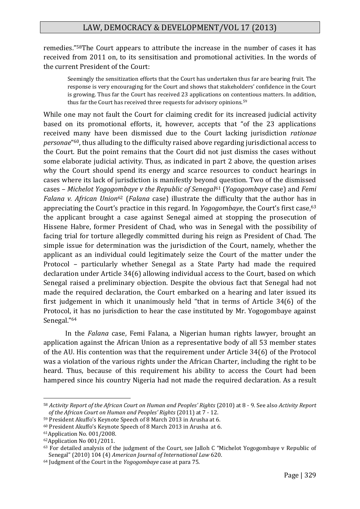remedies."58The Court appears to attribute the increase in the number of cases it has received from 2011 on, to its sensitisation and promotional activities. In the words of the current President of the Court:

Seemingly the sensitization efforts that the Court has undertaken thus far are bearing fruit. The response is very encouraging for the Court and shows that stakeholders' confidence in the Court is growing. Thus far the Court has received 23 applications on contentious matters. In addition, thus far the Court has received three requests for advisory opinions.<sup>59</sup>

While one may not fault the Court for claiming credit for its increased judicial activity based on its promotional efforts, it, however, accepts that "of the 23 applications received many have been dismissed due to the Court lacking jurisdiction *rationae personae*" <sup>60</sup>, thus alluding to the difficulty raised above regarding jurisdictional access to the Court. But the point remains that the Court did not just dismiss the cases without some elaborate judicial activity. Thus, as indicated in part 2 above, the question arises why the Court should spend its energy and scarce resources to conduct hearings in cases where its lack of jurisdiction is manifestly beyond question. Two of the dismissed cases – *Michelot Yogogombaye v the Republic of Senegal*<sup>61</sup> (*Yogogombaye* case) and *Femi Falana v. African Union*<sup>62</sup> (*Falana* case) illustrate the difficulty that the author has in appreciating the Court's practice in this regard. In *Yogogombaye*, the Court's first case,<sup>63</sup> the applicant brought a case against Senegal aimed at stopping the prosecution of Hissene Habre, former President of Chad, who was in Senegal with the possibility of facing trial for torture allegedly committed during his reign as President of Chad. The simple issue for determination was the jurisdiction of the Court, namely, whether the applicant as an individual could legitimately seize the Court of the matter under the Protocol – particularly whether Senegal as a State Party had made the required declaration under Article 34(6) allowing individual access to the Court, based on which Senegal raised a preliminary objection. Despite the obvious fact that Senegal had not made the required declaration, the Court embarked on a hearing and later issued its first judgement in which it unanimously held "that in terms of Article 34(6) of the Protocol, it has no jurisdiction to hear the case instituted by Mr. Yogogombaye against Senegal."<sup>64</sup>

In the *Falana* case, Femi Falana, a Nigerian human rights lawyer, brought an application against the African Union as a representative body of all 53 member states of the AU. His contention was that the requirement under Article 34(6) of the Protocol was a violation of the various rights under the African Charter, including the right to be heard. Thus, because of this requirement his ability to access the Court had been hampered since his country Nigeria had not made the required declaration. As a result

<sup>58</sup> *Activity Report of the African Court on Human and Peoples' Rights* (2010) at 8 - 9. See also *Activity Report of the African Court on Human and Peoples' Rights* (2011) at 7 - 12.

<sup>59</sup> President Akuffo's Keynote Speech of 8 March 2013 in Arusha at 6.

<sup>60</sup> President Akuffo's Keynote Speech of 8 March 2013 in Arusha at 6.

<sup>61</sup>Application No. 001/2008.

<sup>62</sup>Application No 001/2011.

<sup>63</sup> For detailed analysis of the judgment of the Court, see Jalloh C "Michelot Yogogombaye v Republic of Senegal" (2010) 104 (4) *American Journal of International Law* 620.

<sup>64</sup> Judgment of the Court in the *Yogogombaye* case at para 75.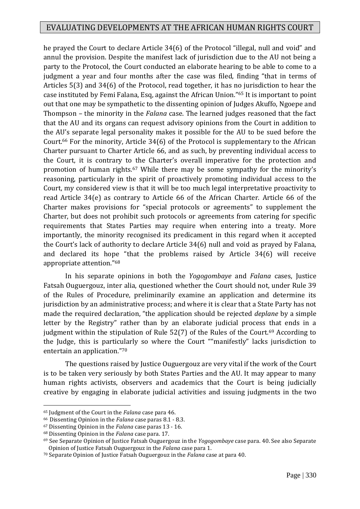he prayed the Court to declare Article 34(6) of the Protocol "illegal, null and void" and annul the provision. Despite the manifest lack of jurisdiction due to the AU not being a party to the Protocol, the Court conducted an elaborate hearing to be able to come to a judgment a year and four months after the case was filed, finding "that in terms of Articles 5(3) and 34(6) of the Protocol, read together, it has no jurisdiction to hear the case instituted by Femi Falana, Esq, against the African Union."<sup>65</sup> It is important to point out that one may be sympathetic to the dissenting opinion of Judges Akuffo, Ngoepe and Thompson – the minority in the *Falana* case. The learned judges reasoned that the fact that the AU and its organs can request advisory opinions from the Court in addition to the AU's separate legal personality makes it possible for the AU to be sued before the Court.<sup>66</sup> For the minority, Article 34(6) of the Protocol is supplementary to the African Charter pursuant to Charter Article 66, and as such, by preventing individual access to the Court, it is contrary to the Charter's overall imperative for the protection and promotion of human rights.<sup>67</sup> While there may be some sympathy for the minority's reasoning, particularly in the spirit of proactively promoting individual access to the Court, my considered view is that it will be too much legal interpretative proactivity to read Article 34(e) as contrary to Article 66 of the African Charter. Article 66 of the Charter makes provisions for "special protocols or agreements" to supplement the Charter, but does not prohibit such protocols or agreements from catering for specific requirements that States Parties may require when entering into a treaty. More importantly, the minority recognised its predicament in this regard when it accepted the Court's lack of authority to declare Article 34(6) null and void as prayed by Falana, and declared its hope "that the problems raised by Article 34(6) will receive appropriate attention."<sup>68</sup>

In his separate opinions in both the *Yogogombaye* and *Falana* cases, Justice Fatsah Ouguergouz, inter alia, questioned whether the Court should not, under Rule 39 of the Rules of Procedure, preliminarily examine an application and determine its jurisdiction by an administrative process; and where it is clear that a State Party has not made the required declaration, "the application should be rejected *deplane* by a simple letter by the Registry" rather than by an elaborate judicial process that ends in a judgment within the stipulation of Rule  $52(7)$  of the Rules of the Court.<sup>69</sup> According to the Judge, this is particularly so where the Court ""manifestly" lacks jurisdiction to entertain an application."<sup>70</sup>

The questions raised by Justice Ouguergouz are very vital if the work of the Court is to be taken very seriously by both States Parties and the AU. It may appear to many human rights activists, observers and academics that the Court is being judicially creative by engaging in elaborate judicial activities and issuing judgments in the two

<sup>65</sup> Judgment of the Court in the *Falana* case para 46.

<sup>66</sup>Dissenting Opinion in the *Falana* case paras 8.1 - 8.3.

<sup>67</sup> Dissenting Opinion in the *Falana* case paras 13 - 16.

<sup>68</sup> Dissenting Opinion in the *Falana* case para. 17.

<sup>69</sup> See Separate Opinion of Justice Fatsah Ouguergouz in the *Yogogombaye* case para. 40. See also Separate Opinion of Justice Fatsah Ouguergouz in the *Falana* case para 1.

<sup>70</sup> Separate Opinion of Justice Fatsah Ouguergouz in the *Falana* case at para 40.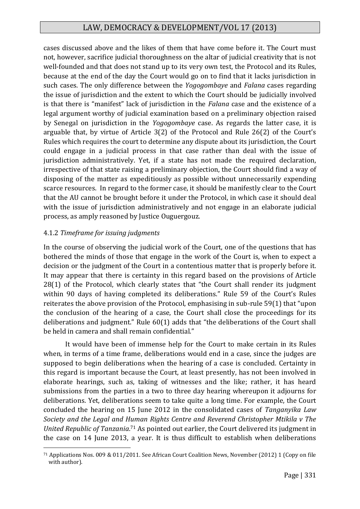cases discussed above and the likes of them that have come before it. The Court must not, however, sacrifice judicial thoroughness on the altar of judicial creativity that is not well-founded and that does not stand up to its very own test, the Protocol and its Rules, because at the end of the day the Court would go on to find that it lacks jurisdiction in such cases. The only difference between the *Yogogombaye* and *Falana* cases regarding the issue of jurisdiction and the extent to which the Court should be judicially involved is that there is "manifest" lack of jurisdiction in the *Falana* case and the existence of a legal argument worthy of judicial examination based on a preliminary objection raised by Senegal on jurisdiction in the *Yogogombaye* case. As regards the latter case, it is arguable that, by virtue of Article 3(2) of the Protocol and Rule 26(2) of the Court's Rules which requires the court to determine any dispute about its jurisdiction, the Court could engage in a judicial process in that case rather than deal with the issue of jurisdiction administratively. Yet, if a state has not made the required declaration, irrespective of that state raising a preliminary objection, the Court should find a way of disposing of the matter as expeditiously as possible without unnecessarily expending scarce resources. In regard to the former case, it should be manifestly clear to the Court that the AU cannot be brought before it under the Protocol, in which case it should deal with the issue of jurisdiction administratively and not engage in an elaborate judicial process, as amply reasoned by Justice Ouguergouz.

## 4.1.2 *Timeframe for issuing judgments*

In the course of observing the judicial work of the Court, one of the questions that has bothered the minds of those that engage in the work of the Court is, when to expect a decision or the judgment of the Court in a contentious matter that is properly before it. It may appear that there is certainty in this regard based on the provisions of Article 28(1) of the Protocol, which clearly states that "the Court shall render its judgment within 90 days of having completed its deliberations." Rule 59 of the Court's Rules reiterates the above provision of the Protocol, emphasising in sub-rule 59(1) that "upon the conclusion of the hearing of a case, the Court shall close the proceedings for its deliberations and judgment." Rule 60(1) adds that "the deliberations of the Court shall be held in camera and shall remain confidential."

It would have been of immense help for the Court to make certain in its Rules when, in terms of a time frame, deliberations would end in a case, since the judges are supposed to begin deliberations when the hearing of a case is concluded. Certainty in this regard is important because the Court, at least presently, has not been involved in elaborate hearings, such as, taking of witnesses and the like; rather, it has heard submissions from the parties in a two to three day hearing whereupon it adjourns for deliberations. Yet, deliberations seem to take quite a long time. For example, the Court concluded the hearing on 15 June 2012 in the consolidated cases of *Tanganyika Law Society and the Legal and Human Rights Centre and Reverend Christopher Mtikila v The United Republic of Tanzania*. <sup>71</sup> As pointed out earlier, the Court delivered its judgment in the case on 14 June 2013, a year. It is thus difficult to establish when deliberations

<sup>1</sup> <sup>71</sup> Applications Nos. 009 & 011/2011. See African Court Coalition News, November (2012) 1 (Copy on file with author).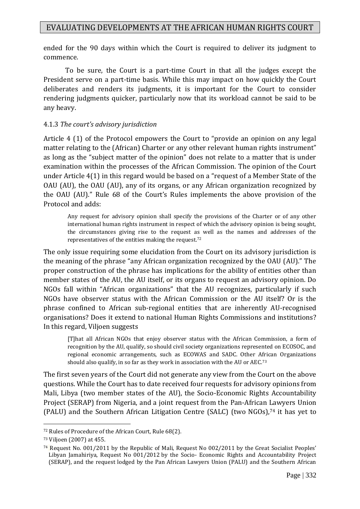ended for the 90 days within which the Court is required to deliver its judgment to commence.

To be sure, the Court is a part-time Court in that all the judges except the President serve on a part-time basis. While this may impact on how quickly the Court deliberates and renders its judgments, it is important for the Court to consider rendering judgments quicker, particularly now that its workload cannot be said to be any heavy.

#### 4.1.3 *The court's advisory jurisdiction*

Article 4 (1) of the Protocol empowers the Court to "provide an opinion on any legal matter relating to the (African) Charter or any other relevant human rights instrument" as long as the "subject matter of the opinion" does not relate to a matter that is under examination within the processes of the African Commission. The opinion of the Court under Article 4(1) in this regard would be based on a "request of a Member State of the OAU (AU), the OAU (AU), any of its organs, or any African organization recognized by the OAU (AU)." Rule 68 of the Court's Rules implements the above provision of the Protocol and adds:

Any request for advisory opinion shall specify the provisions of the Charter or of any other international human rights instrument in respect of which the advisory opinion is being sought, the circumstances giving rise to the request as well as the names and addresses of the representatives of the entities making the request.<sup>72</sup>

The only issue requiring some elucidation from the Court on its advisory jurisdiction is the meaning of the phrase "any African organization recognized by the OAU (AU)." The proper construction of the phrase has implications for the ability of entities other than member states of the AU, the AU itself, or its organs to request an advisory opinion. Do NGOs fall within "African organizations" that the AU recognizes, particularly if such NGOs have observer status with the African Commission or the AU itself? Or is the phrase confined to African sub-regional entities that are inherently AU-recognised organisations? Does it extend to national Human Rights Commissions and institutions? In this regard, Viljoen suggests

[T]hat all African NGOs that enjoy observer status with the African Commission, a form of recognition by the AU, qualify, so should civil society organizations represented on ECOSOC, and regional economic arrangements, such as ECOWAS and SADC. Other African Organizations should also qualify, in so far as they work in association with the AU or AEC.<sup>73</sup>

The first seven years of the Court did not generate any view from the Court on the above questions. While the Court has to date received four requests for advisory opinions from Mali, Libya (two member states of the AU), the Socio-Economic Rights Accountability Project (SERAP) from Nigeria, and a joint request from the Pan-African Lawyers Union (PALU) and the Southern African Litigation Centre (SALC) (two NGOs),<sup>74</sup> it has yet to

<sup>72</sup> Rules of Procedure of the African Court, Rule 68(2).

<sup>73</sup> Viljoen (2007) at 455.

<sup>74</sup> Request No. 001/2011 by the Republic of Mali, Request No 002/2011 by the Great Socialist Peoples' Libyan Jamahiriya, Request No 001/2012 by the Socio- Economic Rights and Accountability Project (SERAP), and the request lodged by the Pan African Lawyers Union (PALU) and the Southern African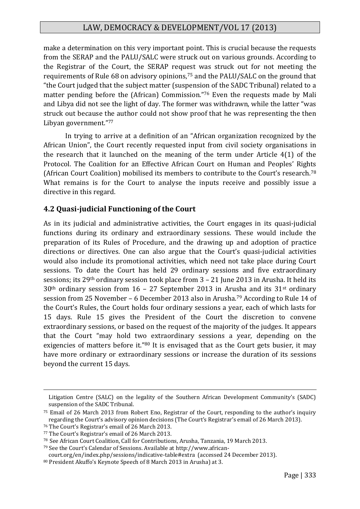make a determination on this very important point. This is crucial because the requests from the SERAP and the PALU/SALC were struck out on various grounds. According to the Registrar of the Court, the SERAP request was struck out for not meeting the requirements of Rule 68 on advisory opinions,<sup>75</sup> and the PALU/SALC on the ground that "the Court judged that the subject matter (suspension of the SADC Tribunal) related to a matter pending before the (African) Commission."<sup>76</sup> Even the requests made by Mali and Libya did not see the light of day. The former was withdrawn, while the latter "was struck out because the author could not show proof that he was representing the then Libyan government."<sup>77</sup>

In trying to arrive at a definition of an "African organization recognized by the African Union", the Court recently requested input from civil society organisations in the research that it launched on the meaning of the term under Article 4(1) of the Protocol. The Coalition for an Effective African Court on Human and Peoples' Rights (African Court Coalition) mobilised its members to contribute to the Court's research.<sup>78</sup> What remains is for the Court to analyse the inputs receive and possibly issue a directive in this regard.

## **4.2 Quasi-judicial Functioning of the Court**

As in its judicial and administrative activities, the Court engages in its quasi-judicial functions during its ordinary and extraordinary sessions. These would include the preparation of its Rules of Procedure, and the drawing up and adoption of practice directions or directives. One can also argue that the Court's quasi-judicial activities would also include its promotional activities, which need not take place during Court sessions. To date the Court has held 29 ordinary sessions and five extraordinary sessions; its 29th ordinary session took place from 3 – 21 June 2013 in Arusha. It held its  $30<sup>th</sup>$  ordinary session from 16 – 27 September 2013 in Arusha and its 31<sup>st</sup> ordinary session from 25 November – 6 December 2013 also in Arusha.<sup>79</sup> According to Rule 14 of the Court's Rules, the Court holds four ordinary sessions a year, each of which lasts for 15 days. Rule 15 gives the President of the Court the discretion to convene extraordinary sessions, or based on the request of the majority of the judges. It appears that the Court "may hold two extraordinary sessions a year, depending on the exigencies of matters before it."<sup>80</sup> It is envisaged that as the Court gets busier, it may have more ordinary or extraordinary sessions or increase the duration of its sessions beyond the current 15 days.

Litigation Centre (SALC) on the legality of the Southern African Development Community's (SADC) suspension of the SADC Tribunal.

<sup>75</sup> Email of 26 March 2013 from Robert Eno, Registrar of the Court, responding to the author's inquiry regarding the Court's advisory opinion decisions (The Court's Registrar's email of 26 March 2013).

<sup>76</sup> The Court's Registrar's email of 26 March 2013.

<sup>77</sup> The Court's Registrar's email of 26 March 2013.

<sup>78</sup>See African Court Coalition, Call for Contributions, Arusha, Tanzania, 19 March 2013.

<sup>79</sup> See the Court's Calendar of Sessions. Available at http://www.african-

court.org/en/index.php/sessions/indicative-table#extra (accessed 24 December 2013).

<sup>80</sup> President Akuffo's Keynote Speech of 8 March 2013 in Arusha) at 3.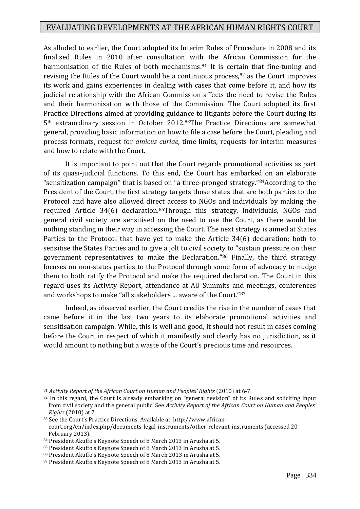As alluded to earlier, the Court adopted its Interim Rules of Procedure in 2008 and its finalised Rules in 2010 after consultation with the African Commission for the harmonisation of the Rules of both mechanisms.<sup>81</sup> It is certain that fine-tuning and revising the Rules of the Court would be a continuous process,<sup>82</sup> as the Court improves its work and gains experiences in dealing with cases that come before it, and how its judicial relationship with the African Commission affects the need to revise the Rules and their harmonisation with those of the Commission. The Court adopted its first Practice Directions aimed at providing guidance to litigants before the Court during its 5th extraordinary session in October 2012.83The Practice Directions are somewhat general, providing basic information on how to file a case before the Court, pleading and process formats, request for *amicus curiae*, time limits, requests for interim measures and how to relate with the Court.

It is important to point out that the Court regards promotional activities as part of its quasi-judicial functions. To this end, the Court has embarked on an elaborate "sensitization campaign" that is based on "a three-pronged strategy."84According to the President of the Court, the first strategy targets those states that are both parties to the Protocol and have also allowed direct access to NGOs and individuals by making the required Article 34(6) declaration.85Through this strategy, individuals, NGOs and general civil society are sensitised on the need to use the Court, as there would be nothing standing in their way in accessing the Court. The next strategy is aimed at States Parties to the Protocol that have yet to make the Article 34(6) declaration; both to sensitise the States Parties and to give a jolt to civil society to "sustain pressure on their government representatives to make the Declaration."<sup>86</sup> Finally, the third strategy focuses on non-states parties to the Protocol through some form of advocacy to nudge them to both ratify the Protocol and make the required declaration. The Court in this regard uses its Activity Report, attendance at AU Summits and meetings, conferences and workshops to make "all stakeholders ... aware of the Court."<sup>87</sup>

Indeed, as observed earlier, the Court credits the rise in the number of cases that came before it in the last two years to its elaborate promotional activities and sensitisation campaign. While, this is well and good, it should not result in cases coming before the Court in respect of which it manifestly and clearly has no jurisdiction, as it would amount to nothing but a waste of the Court's precious time and resources.

<sup>81</sup> *Activity Report of the African Court on Human and Peoples' Rights* (2010) at 6-7.

<sup>&</sup>lt;sup>82</sup> In this regard, the Court is already embarking on "general revision" of its Rules and soliciting input from civil society and the general public. See *Activity Report of the African Court on Human and Peoples' Rights* (2010) at 7.

<sup>83</sup> See the Court's Practice Directions. Available at http://www.africancourt.org/en/index.php/documents-legal-instruments/other-relevant-instruments (accessed 20 February 2013).

<sup>84</sup> President Akuffo's Keynote Speech of 8 March 2013 in Arusha at 5.

<sup>85</sup> President Akuffo's Keynote Speech of 8 March 2013 in Arusha at 5.

<sup>86</sup> President Akuffo's Keynote Speech of 8 March 2013 in Arusha at 5.

<sup>87</sup> President Akuffo's Keynote Speech of 8 March 2013 in Arusha at 5.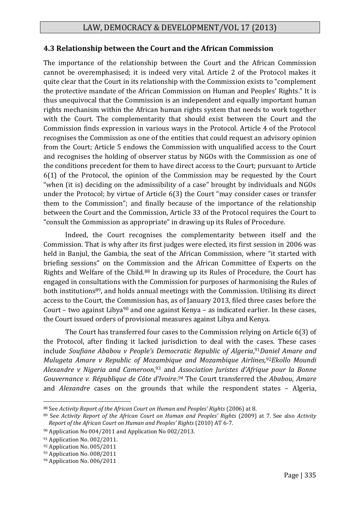## **4.3 Relationship between the Court and the African Commission**

The importance of the relationship between the Court and the African Commission cannot be overemphasised; it is indeed very vital. Article 2 of the Protocol makes it quite clear that the Court in its relationship with the Commission exists to "complement the protective mandate of the African Commission on Human and Peoples' Rights." It is thus unequivocal that the Commission is an independent and equally important human rights mechanism within the African human rights system that needs to work together with the Court. The complementarity that should exist between the Court and the Commission finds expression in various ways in the Protocol. Article 4 of the Protocol recognises the Commission as one of the entities that could request an advisory opinion from the Court; Article 5 endows the Commission with unqualified access to the Court and recognises the holding of observer status by NGOs with the Commission as one of the conditions precedent for them to have direct access to the Court; pursuant to Article 6(1) of the Protocol, the opinion of the Commission may be requested by the Court "when (it is) deciding on the admissibility of a case" brought by individuals and NGOs under the Protocol; by virtue of Article 6(3) the Court "may consider cases or transfer them to the Commission"; and finally because of the importance of the relationship between the Court and the Commission, Article 33 of the Protocol requires the Court to "consult the Commission as appropriate" in drawing up its Rules of Procedure.

Indeed, the Court recognises the complementarity between itself and the Commission. That is why after its first judges were elected, its first session in 2006 was held in Banjul, the Gambia, the seat of the African Commission, where "it started with briefing sessions" on the Commission and the African Committee of Experts on the Rights and Welfare of the Child.<sup>88</sup> In drawing up its Rules of Procedure, the Court has engaged in consultations with the Commission for purposes of harmonising the Rules of both institutions<sup>89</sup>, and holds annual meetings with the Commission. Utilising its direct access to the Court, the Commission has, as of January 2013, filed three cases before the Court – two against Libya<sup>90</sup> and one against Kenya – as indicated earlier. In these cases, the Court issued orders of provisional measures against Libya and Kenya.

The Court has transferred four cases to the Commission relying on Article 6(3) of the Protocol, after finding it lacked jurisdiction to deal with the cases. These cases include *Soufiane Ababou v People's Democratic Republic of Algeria*, <sup>91</sup>*Daniel Amare and Mulugeta Amare v Republic of Mozambique and Mozambique Airlines,*92*Ekollo Moundi Alexandre v Nigeria and Cameroon*, <sup>93</sup> and *Association Juristes d'Afrique pour la Bonne Gouvernance v. République de Côte d'Ivoire*. *<sup>94</sup>* The Court transferred the *Ababou*, *Amare* and *Alexandre* cases on the grounds that while the respondent states – Algeria,

<sup>88</sup> See *Activity Report of the African Court on Human and Peoples' Rights* (2006) at 8.

<sup>89</sup> See *Activity Report of the African Court on Human and Peoples' Rights* (2009) at 7. See also *Activity Report of the African Court on Human and Peoples' Rights* (2010) AT 6-7.

<sup>90</sup> Application No 004/2011 and Application No 002/2013.

<sup>91</sup> Application No. 002/2011.

<sup>92</sup> Application No. 005/2011

<sup>&</sup>lt;sup>93</sup> Application No. 008/2011

<sup>94</sup> Application No. 006/2011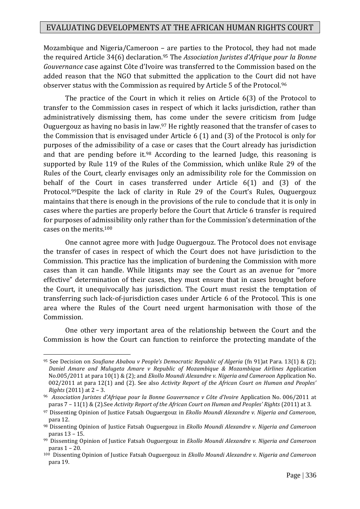Mozambique and Nigeria/Cameroon – are parties to the Protocol, they had not made the required Article 34(6) declaration.<sup>95</sup> The *Association Juristes d'Afrique pour la Bonne Gouvernance* case against Côte d'Ivoire was transferred to the Commission based on the added reason that the NGO that submitted the application to the Court did not have observer status with the Commission as required by Article 5 of the Protocol.<sup>96</sup>

The practice of the Court in which it relies on Article 6(3) of the Protocol to transfer to the Commission cases in respect of which it lacks jurisdiction, rather than administratively dismissing them, has come under the severe criticism from Judge Ouguergouz as having no basis in law.<sup>97</sup> He rightly reasoned that the transfer of cases to the Commission that is envisaged under Article 6 (1) and (3) of the Protocol is only for purposes of the admissibility of a case or cases that the Court already has jurisdiction and that are pending before it.<sup>98</sup> According to the learned Judge, this reasoning is supported by Rule 119 of the Rules of the Commission, which unlike Rule 29 of the Rules of the Court, clearly envisages only an admissibility role for the Commission on behalf of the Court in cases transferred under Article 6(1) and (3) of the Protocol.99Despite the lack of clarity in Rule 29 of the Court's Rules, Ouguergouz maintains that there is enough in the provisions of the rule to conclude that it is only in cases where the parties are properly before the Court that Article 6 transfer is required for purposes of admissibility only rather than for the Commission's determination of the cases on the merits.<sup>100</sup>

One cannot agree more with Judge Ouguergouz. The Protocol does not envisage the transfer of cases in respect of which the Court does not have jurisdiction to the Commission. This practice has the implication of burdening the Commission with more cases than it can handle. While litigants may see the Court as an avenue for "more effective" determination of their cases, they must ensure that in cases brought before the Court, it unequivocally has jurisdiction. The Court must resist the temptation of transferring such lack-of-jurisdiction cases under Article 6 of the Protocol. This is one area where the Rules of the Court need urgent harmonisation with those of the Commission.

One other very important area of the relationship between the Court and the Commission is how the Court can function to reinforce the protecting mandate of the

<sup>95</sup> See Decision on *Soufiane Ababou v People's Democratic Republic of Algeria* (fn 91)at Para. 13(1) & (2); *Daniel Amare and Mulugeta Amare v Republic of Mozambique & Mozambique Airlines* Application No.005/2011 at para 10(1) & (2); and *Ekollo Moundi Alexandre v. Nigeria and Cameroon* Application No. 002/2011 at para 12(1) and (2). See also *Activity Report of the African Court on Human and Peoples' Rights* (2011) at 2 – 3.

<sup>96</sup> *Association Juristes d'Afrique pour la Bonne Gouvernance v Côte d'Ivoire* Application No. 006/2011 at paras 7 – 11(1) & (2).See *Activity Report of the African Court on Human and Peoples' Rights* (2011) at 3.

<sup>97</sup> Dissenting Opinion of Justice Fatsah Ouguergouz in *Ekollo Moundi Alexandre v. Nigeria and Cameroon*, para 12.

<sup>98</sup> Dissenting Opinion of Justice Fatsah Ouguergouz in *Ekollo Moundi Alexandre v. Nigeria and Cameroon* paras 13 – 15.

<sup>99</sup>Dissenting Opinion of Justice Fatsah Ouguergouz in *Ekollo Moundi Alexandre v. Nigeria and Cameroon* paras 1 – 20.

<sup>100</sup> Dissenting Opinion of Justice Fatsah Ouguergouz in *Ekollo Moundi Alexandre v. Nigeria and Cameroon* para 19.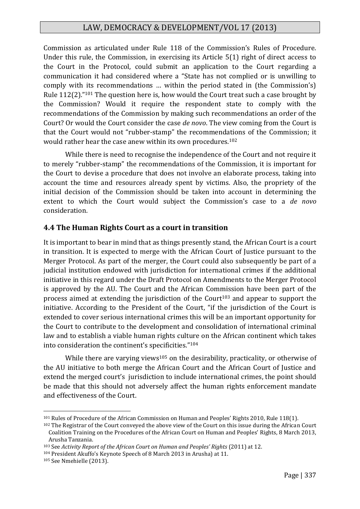Commission as articulated under Rule 118 of the Commission's Rules of Procedure. Under this rule, the Commission, in exercising its Article 5(1) right of direct access to the Court in the Protocol, could submit an application to the Court regarding a communication it had considered where a "State has not complied or is unwilling to comply with its recommendations … within the period stated in (the Commission's) Rule 112(2)."<sup>101</sup> The question here is, how would the Court treat such a case brought by the Commission? Would it require the respondent state to comply with the recommendations of the Commission by making such recommendations an order of the Court? Or would the Court consider the case *de novo*. The view coming from the Court is that the Court would not "rubber-stamp" the recommendations of the Commission; it would rather hear the case anew within its own procedures.<sup>102</sup>

While there is need to recognise the independence of the Court and not require it to merely "rubber-stamp" the recommendations of the Commission, it is important for the Court to devise a procedure that does not involve an elaborate process, taking into account the time and resources already spent by victims. Also, the propriety of the initial decision of the Commission should be taken into account in determining the extent to which the Court would subject the Commission's case to a *de novo* consideration.

#### **4.4 The Human Rights Court as a court in transition**

It is important to bear in mind that as things presently stand, the African Court is a court in transition. It is expected to merge with the African Court of Justice pursuant to the Merger Protocol. As part of the merger, the Court could also subsequently be part of a judicial institution endowed with jurisdiction for international crimes if the additional initiative in this regard under the Draft Protocol on Amendments to the Merger Protocol is approved by the AU. The Court and the African Commission have been part of the process aimed at extending the jurisdiction of the Court<sup>103</sup> and appear to support the initiative. According to the President of the Court, "if the jurisdiction of the Court is extended to cover serious international crimes this will be an important opportunity for the Court to contribute to the development and consolidation of international criminal law and to establish a viable human rights culture on the African continent which takes into consideration the continent's specificities."<sup>104</sup>

While there are varying views<sup>105</sup> on the desirability, practicality, or otherwise of the AU initiative to both merge the African Court and the African Court of Justice and extend the merged court's jurisdiction to include international crimes, the point should be made that this should not adversely affect the human rights enforcement mandate and effectiveness of the Court.

<sup>101</sup> Rules of Procedure of the African Commission on Human and Peoples' Rights 2010, Rule 118(1).

<sup>102</sup> The Registrar of the Court conveyed the above view of the Court on this issue during the African Court Coalition Training on the Procedures of the African Court on Human and Peoples' Rights, 8 March 2013, Arusha Tanzania.

<sup>103</sup> See *Activity Report of the African Court on Human and Peoples' Rights* (2011) at 12.

<sup>104</sup> President Akuffo's Keynote Speech of 8 March 2013 in Arusha) at 11.

<sup>105</sup> See Nmehielle (2013).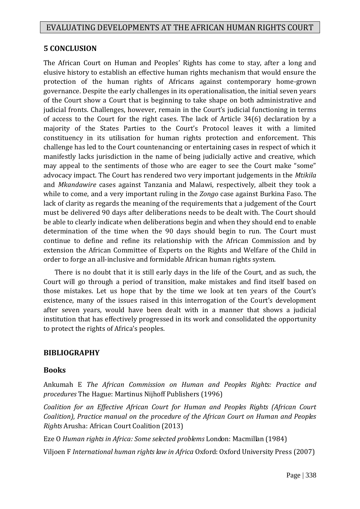### **5 CONCLUSION**

The African Court on Human and Peoples' Rights has come to stay, after a long and elusive history to establish an effective human rights mechanism that would ensure the protection of the human rights of Africans against contemporary home-grown governance. Despite the early challenges in its operationalisation, the initial seven years of the Court show a Court that is beginning to take shape on both administrative and judicial fronts. Challenges, however, remain in the Court's judicial functioning in terms of access to the Court for the right cases. The lack of Article 34(6) declaration by a majority of the States Parties to the Court's Protocol leaves it with a limited constituency in its utilisation for human rights protection and enforcement. This challenge has led to the Court countenancing or entertaining cases in respect of which it manifestly lacks jurisdiction in the name of being judicially active and creative, which may appeal to the sentiments of those who are eager to see the Court make "some" advocacy impact. The Court has rendered two very important judgements in the *Mtikila* and *Mkandawire* cases against Tanzania and Malawi, respectively, albeit they took a while to come, and a very important ruling in the *Zongo* case against Burkina Faso. The lack of clarity as regards the meaning of the requirements that a judgement of the Court must be delivered 90 days after deliberations needs to be dealt with. The Court should be able to clearly indicate when deliberations begin and when they should end to enable determination of the time when the 90 days should begin to run. The Court must continue to define and refine its relationship with the African Commission and by extension the African Committee of Experts on the Rights and Welfare of the Child in order to forge an all-inclusive and formidable African human rights system.

 There is no doubt that it is still early days in the life of the Court, and as such, the Court will go through a period of transition, make mistakes and find itself based on those mistakes. Let us hope that by the time we look at ten years of the Court's existence, many of the issues raised in this interrogation of the Court's development after seven years, would have been dealt with in a manner that shows a judicial institution that has effectively progressed in its work and consolidated the opportunity to protect the rights of Africa's peoples.

#### **BIBLIOGRAPHY**

#### **Books**

Ankumah E *The African Commission on Human and Peoples Rights: Practice and procedures* The Hague: Martinus Nijhoff Publishers (1996)

*Coalition for an Effective African Court for Human and Peoples Rights (African Court Coalition), Practice manual on the procedure of the African Court on Human and Peoples Rights* Arusha: African Court Coalition (2013)

Eze O *Human rights in Africa: Some selected problems* London: Macmillan (1984)

Viljoen F *International human rights law in Africa* Oxford: Oxford University Press (2007)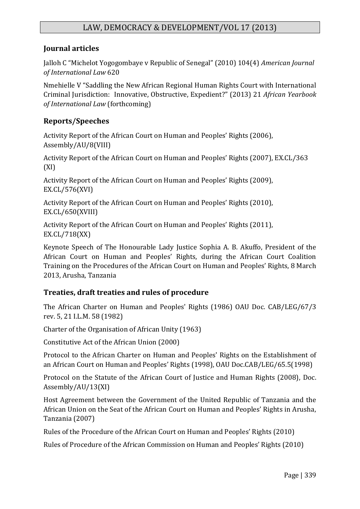## **Journal articles**

Jalloh C "Michelot Yogogombaye v Republic of Senegal" (2010) 104(4) *American Journal of International Law* 620

Nmehielle V "Saddling the New African Regional Human Rights Court with International Criminal Jurisdiction: Innovative, Obstructive, Expedient?" (2013) 21 *African Yearbook of International Law* (forthcoming)

## **Reports/Speeches**

Activity Report of the African Court on Human and Peoples' Rights (2006), Assembly/AU/8(VIII)

Activity Report of the African Court on Human and Peoples' Rights (2007), EX.CL/363 (XI)

Activity Report of the African Court on Human and Peoples' Rights (2009), EX.CL/576(XVI)

Activity Report of the African Court on Human and Peoples' Rights (2010), EX.CL/650(XVIII)

Activity Report of the African Court on Human and Peoples' Rights (2011), EX.CL/718(XX)

Keynote Speech of The Honourable Lady Justice Sophia A. B. Akuffo, President of the African Court on Human and Peoples' Rights, during the African Court Coalition Training on the Procedures of the African Court on Human and Peoples' Rights, 8 March 2013, Arusha, Tanzania

## **Treaties, draft treaties and rules of procedure**

The African Charter on Human and Peoples' Rights (1986) OAU Doc. CAB/LEG/67/3 rev. 5, 21 I.L.M. 58 (1982)

Charter of the Organisation of African Unity (1963)

Constitutive Act of the African Union (2000)

Protocol to the African Charter on Human and Peoples' Rights on the Establishment of an African Court on Human and Peoples' Rights (1998), OAU Doc.CAB/LEG/65.5(1998)

Protocol on the Statute of the African Court of Justice and Human Rights (2008), Doc. Assembly/AU/13(XI)

Host Agreement between the Government of the United Republic of Tanzania and the African Union on the Seat of the African Court on Human and Peoples' Rights in Arusha, Tanzania (2007)

Rules of the Procedure of the African Court on Human and Peoples' Rights (2010)

Rules of Procedure of the African Commission on Human and Peoples' Rights (2010)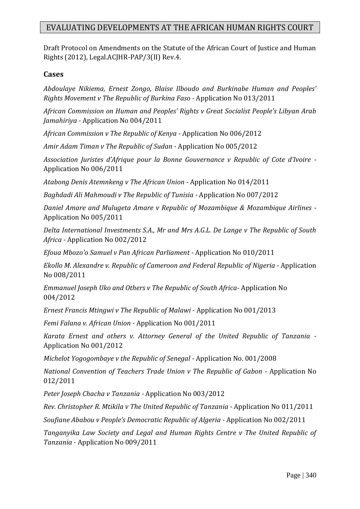Draft Protocol on Amendments on the Statute of the African Court of Justice and Human Rights (2012), Legal.ACJHR-PAP/3(II) Rev.4.

#### **Cases**

*Abdoulaye Nikiema, Ernest Zongo, Blaise Ilboudo and Burkinabe Human and Peoples' Rights Movement v The Republic of Burkina Faso -* Application No 013/2011

*African Commission on Human and Peoples' Rights v Great Socialist People's Libyan Arab Jamahiriya -* Application No 004/2011

*African Commission v The Republic of Kenya -* Application No 006/2012

*Amir Adam Timan v The Republic of Sudan -* Application No 005/2012

*Association Juristes d'Afrique pour la Bonne Gouvernance v Republic of Cote d'Ivoire -* Application No 006/2011

*Atabong Denis Atemnkeng v The African Union -* Application No 014/2011

*Baghdadi Ali Mahmoudi v The Republic of Tunisia -* Application No 007/2012

*Daniel Amare and Mulugeta Amare v Republic of Mozambique & Mozambique Airlines -* Application No 005/2011

*Delta International Investments S.A., Mr and Mrs A.G.L. De Lange v The Republic of South Africa -* Application No 002/2012

*Efoua Mbozo'o Samuel v Pan African Parliament -* Application No 010/2011

*Ekollo M. Alexandre v. Republic of Cameroon and Federal Republic of Nigeria -* Application No 008/2011

*Emmanuel Joseph Uko and Others v The Republic of South Africa-* Application No 004/2012

*Ernest Francis Mtingwi v The Republic of Malawi* - Application No 001/2013

*Femi Falana v. African Union -* Application No 001/2011

*Karata Ernest and others v. Attorney General of the United Republic of Tanzania -* Application No 001/2012

*Michelot Yogogombaye v the Republic of Senegal -* Application No. 001/2008

*National Convention of Teachers Trade Union v The Republic of Gabon -* Application No 012/2011

*Peter Joseph Chacha v Tanzania -* Application No 003/2012

*Rev. Christopher R. Mtikila v The United Republic of Tanzania -* Application No 011/2011

*Soufiane Ababou v People's Democratic Republic of Algeria -* Application No 002/2011

*Tanganyika Law Society and Legal and Human Rights Centre v The United Republic of Tanzania -* Application No 009/2011